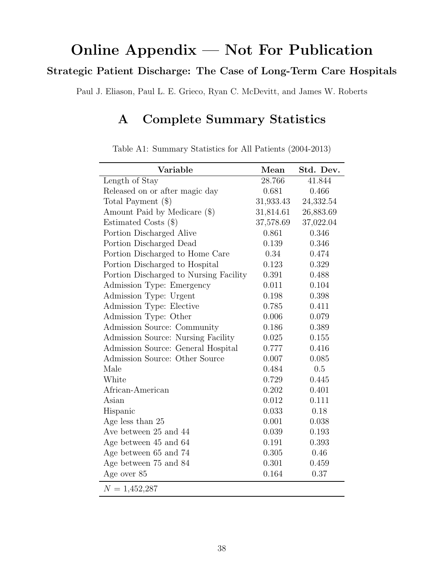# Online Appendix — Not For Publication Strategic Patient Discharge: The Case of Long-Term Care Hospitals

Paul J. Eliason, Paul L. E. Grieco, Ryan C. McDevitt, and James W. Roberts

# A Complete Summary Statistics

| Variable                               | Mean      | Std. Dev. |
|----------------------------------------|-----------|-----------|
| Length of Stay                         | 28.766    | 41.844    |
| Released on or after magic day         | 0.681     | 0.466     |
| Total Payment (\$)                     | 31,933.43 | 24,332.54 |
| Amount Paid by Medicare (\$)           | 31,814.61 | 26,883.69 |
| Estimated Costs (\$)                   | 37,578.69 | 37,022.04 |
| Portion Discharged Alive               | 0.861     | 0.346     |
| Portion Discharged Dead                | 0.139     | 0.346     |
| Portion Discharged to Home Care        | 0.34      | 0.474     |
| Portion Discharged to Hospital         | 0.123     | 0.329     |
| Portion Discharged to Nursing Facility | 0.391     | 0.488     |
| Admission Type: Emergency              | 0.011     | 0.104     |
| Admission Type: Urgent                 | 0.198     | 0.398     |
| Admission Type: Elective               | 0.785     | 0.411     |
| Admission Type: Other                  | 0.006     | 0.079     |
| Admission Source: Community            | 0.186     | 0.389     |
| Admission Source: Nursing Facility     | 0.025     | 0.155     |
| Admission Source: General Hospital     | 0.777     | 0.416     |
| Admission Source: Other Source         | 0.007     | 0.085     |
| Male                                   | 0.484     | 0.5       |
| White                                  | 0.729     | 0.445     |
| African-American                       | 0.202     | 0.401     |
| Asian                                  | 0.012     | 0.111     |
| Hispanic                               | 0.033     | 0.18      |
| Age less than 25                       | 0.001     | 0.038     |
| Ave between 25 and 44                  | 0.039     | 0.193     |
| Age between 45 and 64                  | 0.191     | 0.393     |
| Age between 65 and 74                  | 0.305     | 0.46      |
| Age between 75 and 84                  | 0.301     | 0.459     |
| Age over 85                            | 0.164     | 0.37      |
| $N = 1,452,287$                        |           |           |

Table A1: Summary Statistics for All Patients (2004-2013)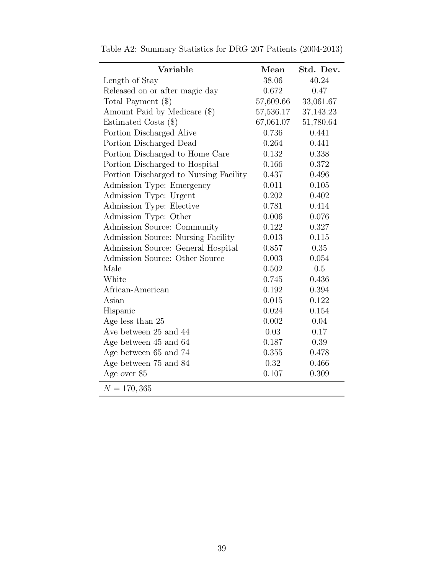| Variable                               | Mean      | Std. Dev. |
|----------------------------------------|-----------|-----------|
| Length of Stay                         | 38.06     | 40.24     |
| Released on or after magic day         | 0.672     | 0.47      |
| Total Payment $(\$)$                   | 57,609.66 | 33,061.67 |
| Amount Paid by Medicare (\$)           | 57,536.17 | 37,143.23 |
| Estimated Costs $(\$)$                 | 67,061.07 | 51,780.64 |
| Portion Discharged Alive               | 0.736     | 0.441     |
| Portion Discharged Dead                | 0.264     | 0.441     |
| Portion Discharged to Home Care        | 0.132     | 0.338     |
| Portion Discharged to Hospital         | 0.166     | 0.372     |
| Portion Discharged to Nursing Facility | 0.437     | 0.496     |
| Admission Type: Emergency              | 0.011     | 0.105     |
| Admission Type: Urgent                 | 0.202     | 0.402     |
| Admission Type: Elective               | 0.781     | 0.414     |
| Admission Type: Other                  | 0.006     | 0.076     |
| Admission Source: Community            | 0.122     | 0.327     |
| Admission Source: Nursing Facility     | 0.013     | 0.115     |
| Admission Source: General Hospital     | 0.857     | 0.35      |
| Admission Source: Other Source         | 0.003     | 0.054     |
| Male                                   | 0.502     | 0.5       |
| White                                  | 0.745     | 0.436     |
| African-American                       | 0.192     | 0.394     |
| Asian                                  | 0.015     | 0.122     |
| Hispanic                               | 0.024     | 0.154     |
| Age less than 25                       | 0.002     | 0.04      |
| Ave between 25 and 44                  | 0.03      | 0.17      |
| Age between 45 and 64                  | 0.187     | 0.39      |
| Age between 65 and 74                  | 0.355     | 0.478     |
| Age between 75 and 84                  | 0.32      | 0.466     |
| Age over 85                            | 0.107     | 0.309     |
| $N = 170, 365$                         |           |           |

Table A2: Summary Statistics for DRG 207 Patients (2004-2013)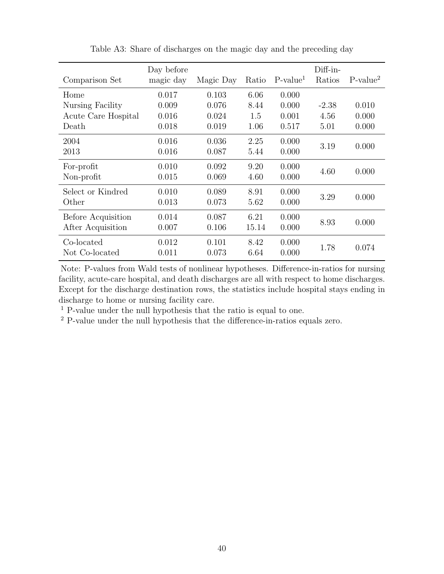|                     | Day before |           |       |            | Diff-in- |            |
|---------------------|------------|-----------|-------|------------|----------|------------|
| Comparison Set      | magic day  | Magic Day | Ratio | $P-value1$ | Ratios   | $P-value2$ |
| Home                | 0.017      | 0.103     | 6.06  | 0.000      |          |            |
| Nursing Facility    | 0.009      | 0.076     | 8.44  | 0.000      | $-2.38$  | 0.010      |
| Acute Care Hospital | 0.016      | 0.024     | 1.5   | 0.001      | 4.56     | 0.000      |
| Death               | 0.018      | 0.019     | 1.06  | 0.517      | 5.01     | 0.000      |
| 2004                | 0.016      | 0.036     | 2.25  | 0.000      | 3.19     | 0.000      |
| 2013                | 0.016      | 0.087     | 5.44  | 0.000      |          |            |
| For-profit          | 0.010      | 0.092     | 9.20  | 0.000      | 4.60     | 0.000      |
| Non-profit          | 0.015      | 0.069     | 4.60  | 0.000      |          |            |
| Select or Kindred   | 0.010      | 0.089     | 8.91  | 0.000      |          |            |
| Other               | 0.013      | 0.073     | 5.62  | 0.000      | 3.29     | 0.000      |
| Before Acquisition  | 0.014      | 0.087     | 6.21  | 0.000      |          |            |
| After Acquisition   | 0.007      | 0.106     | 15.14 | 0.000      | 8.93     | 0.000      |
| Co-located          | 0.012      | 0.101     | 8.42  | 0.000      |          |            |
| Not Co-located      | 0.011      | 0.073     | 6.64  | 0.000      | 1.78     | 0.074      |

Table A3: Share of discharges on the magic day and the preceding day

Note: P-values from Wald tests of nonlinear hypotheses. Difference-in-ratios for nursing facility, acute-care hospital, and death discharges are all with respect to home discharges. Except for the discharge destination rows, the statistics include hospital stays ending in discharge to home or nursing facility care.

<sup>1</sup> P-value under the null hypothesis that the ratio is equal to one.

<sup>2</sup> P-value under the null hypothesis that the difference-in-ratios equals zero.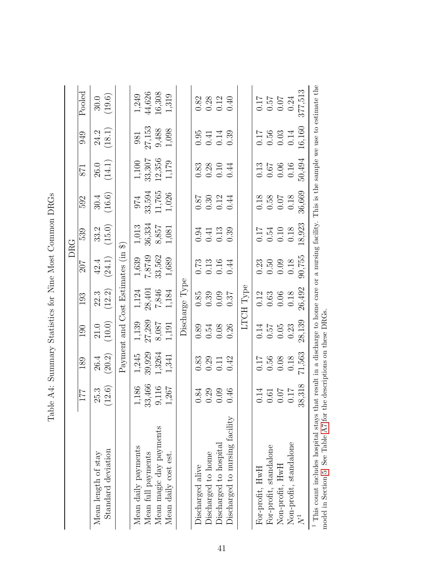|                                                                                         |                                             |                                                     |                                                     |                                                                |                                                     | DRG                                                         |                                                                     |                                                             |                                                             |                                                             |
|-----------------------------------------------------------------------------------------|---------------------------------------------|-----------------------------------------------------|-----------------------------------------------------|----------------------------------------------------------------|-----------------------------------------------------|-------------------------------------------------------------|---------------------------------------------------------------------|-------------------------------------------------------------|-------------------------------------------------------------|-------------------------------------------------------------|
|                                                                                         | 177                                         | 189                                                 | $\overline{0}0$                                     | 193                                                            | 70Z                                                 | 539                                                         | 592                                                                 | 871                                                         | 949                                                         | Pooled                                                      |
| Mean length of stay                                                                     | 25.3                                        | 26.4                                                | 21.0                                                | 22.3                                                           | 42.4                                                | 33.2                                                        | 30.4                                                                | <b>26.0</b>                                                 | 24.2                                                        | 30.0                                                        |
| Standard deviation                                                                      | (12.6)                                      | (20.2)                                              | (10.0)                                              | (12.2)                                                         | (24.1)                                              | (15.0)                                                      | (16.6)                                                              | (14.1)                                                      | (18.1)                                                      | (19.6)                                                      |
|                                                                                         |                                             |                                                     |                                                     | Payment and Cost Estimates (in                                 |                                                     | କ                                                           |                                                                     |                                                             |                                                             |                                                             |
| Mean daily payments                                                                     | 1,186                                       | 1,245                                               | 1,139                                               | 1,124                                                          | $1,\!639$                                           | 1,013                                                       | 974                                                                 | 1,100                                                       | 981                                                         | 1,249                                                       |
| Mean full payments                                                                      | 33,466                                      | 39,929                                              | 27,289                                              | 28,401                                                         | 7,8749                                              | 36,334                                                      |                                                                     | 33,307                                                      | 27,153                                                      | 44,626                                                      |
| Mean magic day payments                                                                 | 9,116                                       | 1,3264                                              | 8,087                                               | 7,846                                                          | 33,562                                              |                                                             | 33,594<br>11,765                                                    | 12,356                                                      | 9,488                                                       | 16,308                                                      |
| Mean daily cost est.                                                                    | 1,267                                       | 1,341                                               | 1,191                                               | $1,184$                                                        | 1,689                                               | $8,857$<br>1,081                                            | $1,026$                                                             | 1,179                                                       | 1,098                                                       | 1,319                                                       |
|                                                                                         |                                             |                                                     |                                                     | Discharge Type                                                 |                                                     |                                                             |                                                                     |                                                             |                                                             |                                                             |
| Discharged alive                                                                        | 0.84                                        | 0.83                                                | 0.89                                                | 0.85                                                           |                                                     | 0.94                                                        |                                                                     | 0.83                                                        | 0.95                                                        | 0.82                                                        |
| Discharged to home                                                                      | 0.29                                        | $0.29$<br>$0.11$                                    | 0.54                                                | 0.39                                                           | $\begin{array}{c} 0.73 \\ 0.13 \\ 0.16 \end{array}$ | $0.41$<br>$0.13$                                            | $\begin{array}{c} 0.87 \\ 0.30 \\ 0.12 \end{array}$                 |                                                             |                                                             |                                                             |
| Discharged to hospital                                                                  | 0.09                                        |                                                     | 0.08                                                | 0.09                                                           |                                                     |                                                             |                                                                     | $0.28$<br>$0.10$<br>$0.44$                                  | $0.41$<br>$0.14$                                            | $0.28$<br>$0.12$<br>$0.40$                                  |
| Discharged to nursing facility                                                          | 0.46                                        | 0.42                                                | 0.26                                                | 0.37                                                           | 0.44                                                | 0.39                                                        | 0.44                                                                |                                                             | 0.39                                                        |                                                             |
|                                                                                         |                                             |                                                     |                                                     | LTCH Type                                                      |                                                     |                                                             |                                                                     |                                                             |                                                             |                                                             |
| For-profit, HwH                                                                         | 0.14                                        | 717                                                 |                                                     |                                                                |                                                     |                                                             |                                                                     |                                                             |                                                             |                                                             |
| For-profit, standalone                                                                  | $\begin{array}{c} 0.61 \\ 0.07 \end{array}$ |                                                     | $\begin{array}{c} 0.14 \\ 0.57 \\ 0.05 \end{array}$ | $\begin{array}{c} 0.12 \\ 0.63 \\ 0.06 \end{array}$            |                                                     |                                                             |                                                                     |                                                             |                                                             |                                                             |
| Non-profit, HwH                                                                         |                                             | $\begin{array}{c} 0.56 \\ 0.08 \\ 0.18 \end{array}$ |                                                     |                                                                | $0.500$<br>$0.500$<br>$0.18$                        | $\begin{array}{c} 0.17 \\ 0.54 \\ 0.10 \\ 0.18 \end{array}$ | $\begin{array}{c} 0.18 \\ 0.58 \\ 0.0 \\ 0.0 \\ 0.0 \\ \end{array}$ | $\begin{array}{c} 0.13 \\ 0.67 \\ 0.06 \\ 0.16 \end{array}$ | $\begin{array}{c} 0.17 \\ 0.56 \\ 0.03 \\ 0.14 \end{array}$ | $\begin{array}{c} 0.17 \\ 0.57 \\ 0.07 \\ 0.24 \end{array}$ |
| Non-profit, standalone                                                                  | 0.17                                        |                                                     | 0.23                                                | 0.18                                                           |                                                     |                                                             |                                                                     |                                                             |                                                             |                                                             |
| $N^1$                                                                                   | 38,318                                      | 71,563                                              | 28,139                                              | 26,492                                                         | 90,755                                              | 18,923                                                      | 36,669                                                              | 50,494                                                      | 16,160                                                      | 377,513                                                     |
| model in Section 5. See Table A7 for<br><sup>1</sup> This count includes hospital stays |                                             |                                                     | the descriptions on these DRGs                      | that result in a discharge to home care or a nursing facility. |                                                     |                                                             |                                                                     |                                                             |                                                             | This is the sample we use to estimate the                   |

| くりし<br>l<br>֠<br>CHOCHOOR CALL<br>ׇ֒<br>Ì                                                                                                                                     |
|-------------------------------------------------------------------------------------------------------------------------------------------------------------------------------|
| ļ<br>י<br>י<br>١<br>$\overline{1}$<br>$\overline{a}$<br>i<br>i                                                                                                                |
| i<br>$\mathfrak{h}$                                                                                                                                                           |
| ֖֖֖ׅׅ֚֚֚֚֚֚֚֚֚֡֬֝֓֕֓֕֓֡֬֝֬֝֬֓֬֝֬֝֓֞֬֝֬֓֝֬<br>ì                                                                                                                                |
| <b>MON DO PORTA</b><br>֖֖֖֖֖֖֧ׅׅׅׅ֖֧֧ׅ֚֚֚֚֚֚֚֚֚֚֚֚֚֚֚֚֚֚֚֚֚֚֚֬֝֝֬֝֬֓֝֓֞֝֬֓֬֝֓֬֝֓֬֝֬<br>֖֖֖֖֖֖֖֧ׅ֖ׅ֪ׅ֖֧ׅ֪ׅ֖֧֖֖֧֪֪֪ׅ֪֪֪֧֪ׅ֧֪ׅ֪֪֪֧֪ׅ֧֚֚֚֚֚֚֚֚֚֚֚֚֚֚֚֚֚֚֚֚֚֚֚֚֚֚֚֚֚֚֬֝֝֝֬֝֓֞<br>l |
| ֧֦֧֦֧֦֧֦֧֦֧֦֧֦֧֦֧֦֧֦֧֦֧֦֧֦֧֦֧֚֬<br>I                                                                                                                                          |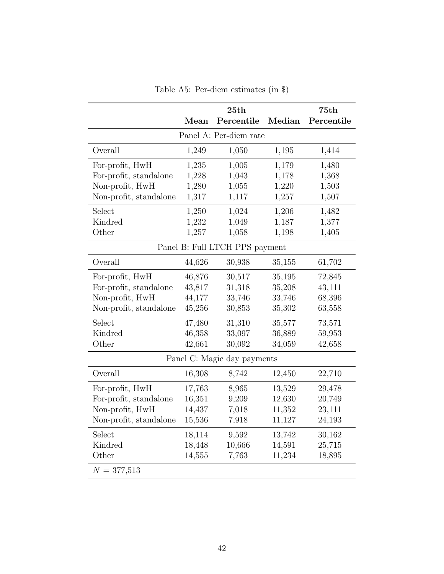|                        |        | 25th                           |        | 75th       |
|------------------------|--------|--------------------------------|--------|------------|
|                        | Mean   | Percentile                     | Median | Percentile |
|                        |        | Panel A: Per-diem rate         |        |            |
| Overall                | 1,249  | 1,050                          | 1,195  | 1,414      |
| For-profit, HwH        | 1,235  | 1,005                          | 1,179  | 1,480      |
| For-profit, standalone | 1,228  | 1,043                          | 1,178  | 1,368      |
| Non-profit, HwH        | 1,280  | 1,055                          | 1,220  | 1,503      |
| Non-profit, standalone | 1,317  | 1,117                          | 1,257  | 1,507      |
| Select                 | 1,250  | 1,024                          | 1,206  | 1,482      |
| Kindred                | 1,232  | 1,049                          | 1,187  | 1,377      |
| Other                  | 1,257  | 1,058                          | 1,198  | 1,405      |
|                        |        | Panel B: Full LTCH PPS payment |        |            |
| Overall                | 44,626 | 30,938                         | 35,155 | 61,702     |
| For-profit, HwH        | 46,876 | 30,517                         | 35,195 | 72,845     |
| For-profit, standalone | 43,817 | 31,318                         | 35,208 | 43,111     |
| Non-profit, HwH        | 44,177 | 33,746                         | 33,746 | 68,396     |
| Non-profit, standalone | 45,256 | 30,853                         | 35,302 | 63,558     |
| Select                 | 47,480 | 31,310                         | 35,577 | 73,571     |
| Kindred                | 46,358 | 33,097                         | 36,889 | 59,953     |
| Other                  | 42,661 | 30,092                         | 34,059 | 42,658     |
|                        |        | Panel C: Magic day payments    |        |            |
| Overall                | 16,308 | 8,742                          | 12,450 | 22,710     |
| For-profit, HwH        | 17,763 | 8,965                          | 13,529 | 29,478     |
| For-profit, standalone | 16,351 | 9,209                          | 12,630 | 20,749     |
| Non-profit, HwH        | 14,437 | 7,018                          | 11,352 | 23,111     |
| Non-profit, standalone | 15,536 | 7,918                          | 11,127 | 24,193     |
| Select                 | 18,114 | 9,592                          | 13,742 | 30,162     |
| Kindred                | 18,448 | 10,666                         | 14,591 | 25,715     |
| Other                  | 14,555 | 7,763                          | 11,234 | 18,895     |
| $N = 377,513$          |        |                                |        |            |

Table A5: Per-diem estimates (in \$)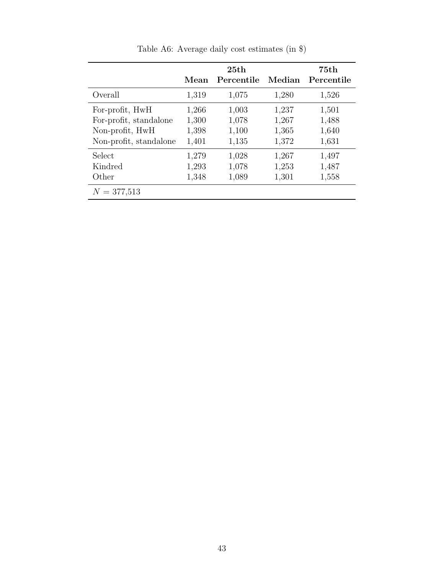|                        |       | 25th       |        | 75th       |
|------------------------|-------|------------|--------|------------|
|                        | Mean  | Percentile | Median | Percentile |
| Overall                | 1,319 | 1,075      | 1,280  | 1,526      |
| For-profit, HwH        | 1,266 | 1,003      | 1,237  | 1,501      |
| For-profit, standalone | 1,300 | 1,078      | 1,267  | 1,488      |
| Non-profit, HwH        | 1,398 | 1,100      | 1,365  | 1,640      |
| Non-profit, standalone | 1,401 | 1,135      | 1,372  | 1,631      |
| Select                 | 1,279 | 1,028      | 1,267  | 1,497      |
| Kindred                | 1,293 | 1,078      | 1,253  | 1,487      |
| Other                  | 1,348 | 1,089      | 1,301  | 1,558      |
| $N = 377,513$          |       |            |        |            |

Table A6: Average daily cost estimates (in \$)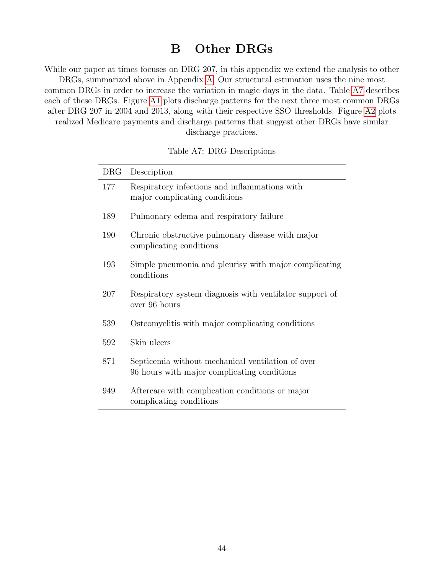### B Other DRGs

While our paper at times focuses on DRG 207, in this appendix we extend the analysis to other DRGs, summarized above in Appendix A. Our structural estimation uses the nine most common DRGs in order to increase the variation in magic days in the data. Table A7 describes each of these DRGs. Figure A1 plots discharge patterns for the next three most common DRGs after DRG 207 in 2004 and 2013, along with their respective SSO thresholds. Figure A2 plots realized Medicare payments and discharge patterns that suggest other DRGs have similar discharge practices.

#### Table A7: DRG Descriptions

| <b>DRG</b> | Description                                                                                      |
|------------|--------------------------------------------------------------------------------------------------|
| 177        | Respiratory infections and inflammations with<br>major complicating conditions                   |
| 189        | Pulmonary edema and respiratory failure                                                          |
| 190        | Chronic obstructive pulmonary disease with major<br>complicating conditions                      |
| 193        | Simple pneumonia and pleurisy with major complicating<br>conditions                              |
| 207        | Respiratory system diagnosis with ventilator support of<br>over 96 hours                         |
| 539        | Osteomyelitis with major complicating conditions                                                 |
| 592        | Skin ulcers                                                                                      |
| 871        | Septicemia without mechanical ventilation of over<br>96 hours with major complicating conditions |
| 949        | Aftercare with complication conditions or major<br>complicating conditions                       |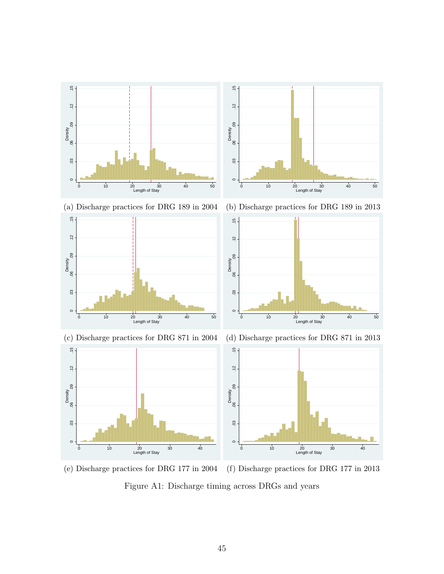

(e) Discharge practices for DRG 177 in 2004 (f) Discharge practices for DRG 177 in 2013

Figure A1: Discharge timing across DRGs and years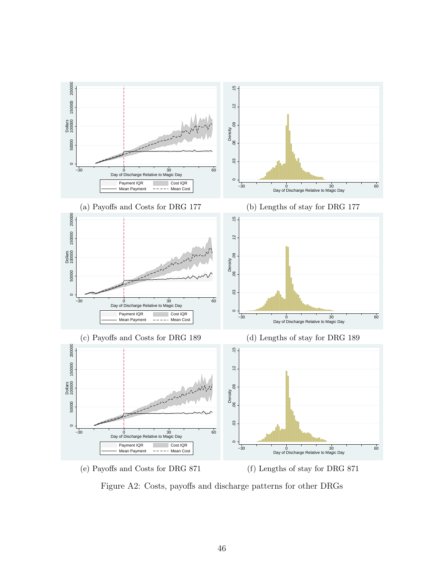

Figure A2: Costs, payoffs and discharge patterns for other DRGs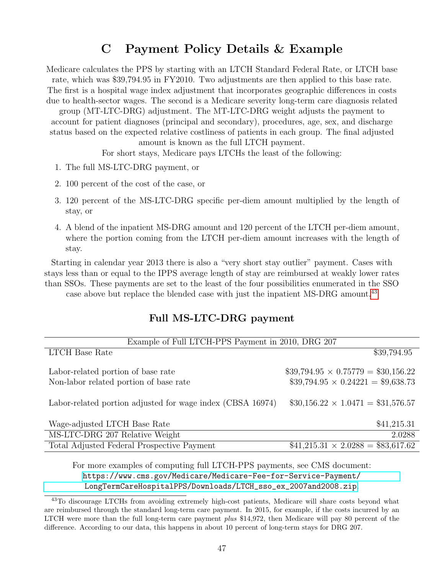# C Payment Policy Details & Example

Medicare calculates the PPS by starting with an LTCH Standard Federal Rate, or LTCH base rate, which was \$39,794.95 in FY2010. Two adjustments are then applied to this base rate. The first is a hospital wage index adjustment that incorporates geographic differences in costs due to health-sector wages. The second is a Medicare severity long-term care diagnosis related

group (MT-LTC-DRG) adjustment. The MT-LTC-DRG weight adjusts the payment to account for patient diagnoses (principal and secondary), procedures, age, sex, and discharge status based on the expected relative costliness of patients in each group. The final adjusted

amount is known as the full LTCH payment.

For short stays, Medicare pays LTCHs the least of the following:

- 1. The full MS-LTC-DRG payment, or
- 2. 100 percent of the cost of the case, or
- 3. 120 percent of the MS-LTC-DRG specific per-diem amount multiplied by the length of stay, or
- 4. A blend of the inpatient MS-DRG amount and 120 percent of the LTCH per-diem amount, where the portion coming from the LTCH per-diem amount increases with the length of stay.

Starting in calendar year 2013 there is also a "very short stay outlier" payment. Cases with stays less than or equal to the IPPS average length of stay are reimbursed at weakly lower rates than SSOs. These payments are set to the least of the four possibilities enumerated in the SSO

case above but replace the blended case with just the inpatient MS-DRG amount.<sup>43</sup>

### Full MS-LTC-DRG payment

| Example of Full LTCH-PPS Payment in 2010, DRG 207          |                                          |
|------------------------------------------------------------|------------------------------------------|
| <b>LTCH</b> Base Rate                                      | \$39,794.95                              |
| Labor-related portion of base rate                         | $$39,794.95 \times 0.75779 = $30,156.22$ |
| Non-labor related portion of base rate                     | $$39,794.95 \times 0.24221 = $9,638.73$  |
| Labor-related portion adjusted for wage index (CBSA 16974) | $$30,156.22 \times 1.0471 = $31,576.57$  |
| Wage-adjusted LTCH Base Rate                               | \$41,215.31                              |
| MS-LTC-DRG 207 Relative Weight                             | 2.0288                                   |
| Total Adjusted Federal Prospective Payment                 | $$41,215.31 \times 2.0288 = $83,617.62$  |

For more examples of computing full LTCH-PPS payments, see CMS document: [https://www.cms.gov/Medicare/Medicare-Fee-for-Service-Payment/](https://www.cms.gov/Medicare/Medicare-Fee-for-Service-Payment/LongTermCareHospitalPPS/Downloads/LTCH_sso_ex_2007and2008.zip) [LongTermCareHospitalPPS/Downloads/LTCH\\_sso\\_ex\\_2007and2008.zip](https://www.cms.gov/Medicare/Medicare-Fee-for-Service-Payment/LongTermCareHospitalPPS/Downloads/LTCH_sso_ex_2007and2008.zip).

<sup>43</sup>To discourage LTCHs from avoiding extremely high-cost patients, Medicare will share costs beyond what are reimbursed through the standard long-term care payment. In 2015, for example, if the costs incurred by an LTCH were more than the full long-term care payment plus \$14,972, then Medicare will pay 80 percent of the difference. According to our data, this happens in about 10 percent of long-term stays for DRG 207.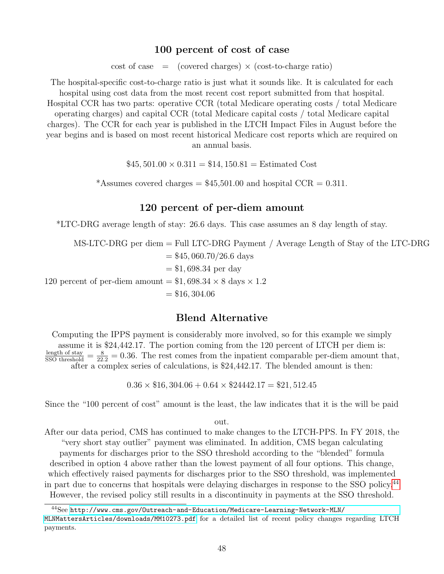#### 100 percent of cost of case

 $\cot$  of case  $\equiv$  (covered charges)  $\times$  (cost-to-charge ratio)

The hospital-specific cost-to-charge ratio is just what it sounds like. It is calculated for each hospital using cost data from the most recent cost report submitted from that hospital. Hospital CCR has two parts: operative CCR (total Medicare operating costs / total Medicare operating charges) and capital CCR (total Medicare capital costs / total Medicare capital charges). The CCR for each year is published in the LTCH Impact Files in August before the year begins and is based on most recent historical Medicare cost reports which are required on an annual basis.

 $$45,501.00 \times 0.311 = $14,150.81 = Estimated Cost$ 

\*Assumes covered charges =  $$45,501.00$  and hospital CCR = 0.311.

### 120 percent of per-diem amount

\*LTC-DRG average length of stay: 26.6 days. This case assumes an 8 day length of stay.

MS-LTC-DRG per diem = Full LTC-DRG Payment / Average Length of Stay of the LTC-DRG  $=$  \$45, 060.70/26.6 days  $= $1,698.34$  per day 120 percent of per-diem amount  $= $1,698.34 \times 8$  days  $\times 1.2$  $= $16, 304.06$ 

### Blend Alternative

Computing the IPPS payment is considerably more involved, so for this example we simply assume it is \$24,442.17. The portion coming from the 120 percent of LTCH per diem is:  $\frac{\text{length of stay}}{\text{SSO threshold}} = \frac{8}{22.2} = 0.36$ . The rest comes from the inpatient comparable per-diem amount that, after a complex series of calculations, is \$24,442.17. The blended amount is then:

 $0.36 \times $16,304.06 + 0.64 \times $24442.17 = $21,512.45$ 

Since the "100 percent of cost" amount is the least, the law indicates that it is the will be paid

out.

After our data period, CMS has continued to make changes to the LTCH-PPS. In FY 2018, the "very short stay outlier" payment was eliminated. In addition, CMS began calculating

payments for discharges prior to the SSO threshold according to the "blended" formula described in option 4 above rather than the lowest payment of all four options. This change, which effectively raised payments for discharges prior to the SSO threshold, was implemented in part due to concerns that hospitals were delaying discharges in response to the SSO policy.44 However, the revised policy still results in a discontinuity in payments at the SSO threshold.

<sup>44</sup>See [http://www.cms.gov/Outreach-and-Education/Medicare-Learning-Network-MLN/](http://www.cms.gov/Outreach-and-Education/Medicare-Learning-Network-MLN/MLNMattersArticles/downloads/MM10273.pdf)

[MLNMattersArticles/downloads/MM10273.pdf](http://www.cms.gov/Outreach-and-Education/Medicare-Learning-Network-MLN/MLNMattersArticles/downloads/MM10273.pdf) for a detailed list of recent policy changes regarding LTCH payments.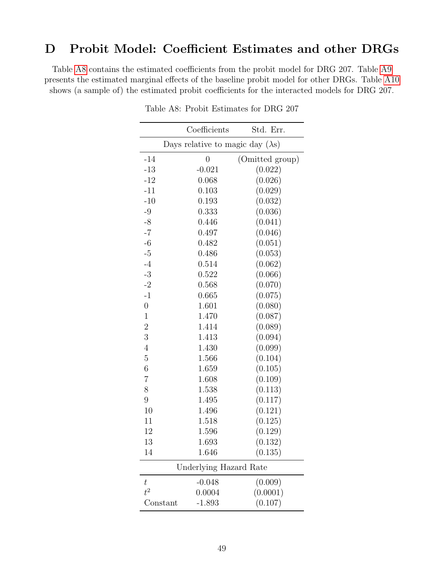### D Probit Model: Coefficient Estimates and other DRGs

Table A8 contains the estimated coefficients from the probit model for DRG 207. Table A9 presents the estimated marginal effects of the baseline probit model for other DRGs. Table A10 shows (a sample of) the estimated probit coefficients for the interacted models for DRG 207.

|                | Coefficients                             | Std. Err.       |
|----------------|------------------------------------------|-----------------|
|                | Days relative to magic day $(\lambda s)$ |                 |
| $-14$          | $\overline{0}$                           | (Omitted group) |
| $-13$          | $-0.021$                                 | (0.022)         |
| $-12$          | 0.068                                    | (0.026)         |
| $-11$          | 0.103                                    | (0.029)         |
| $-10$          | 0.193                                    | (0.032)         |
| $-9$           | 0.333                                    | (0.036)         |
| $-8$           | 0.446                                    | (0.041)         |
| $-7$           | 0.497                                    | (0.046)         |
| $-6$           | 0.482                                    | (0.051)         |
| $-5$           | 0.486                                    | (0.053)         |
| $-4$           | 0.514                                    | (0.062)         |
| $-3$           | 0.522                                    | (0.066)         |
| $-2$           | 0.568                                    | (0.070)         |
| $-1$           | 0.665                                    | (0.075)         |
| $\overline{0}$ | 1.601                                    | (0.080)         |
| $\mathbf 1$    | 1.470                                    | (0.087)         |
| $\overline{2}$ | 1.414                                    | (0.089)         |
| 3              | 1.413                                    | (0.094)         |
| $\overline{4}$ | 1.430                                    | (0.099)         |
| $\overline{5}$ | 1.566                                    | (0.104)         |
| $\overline{6}$ | 1.659                                    | (0.105)         |
| $\overline{7}$ | 1.608                                    | (0.109)         |
| 8              | 1.538                                    | (0.113)         |
| 9              | 1.495                                    | (0.117)         |
| 10             | 1.496                                    | (0.121)         |
| 11             | 1.518                                    | (0.125)         |
| 12             | 1.596                                    | (0.129)         |
| 13             | 1.693                                    | (0.132)         |
| 14             | 1.646                                    | (0.135)         |
|                | Underlying Hazard Rate                   |                 |
| $t\,$          | $-0.048$                                 | (0.009)         |
| $t^2$          | 0.0004                                   | (0.0001)        |
|                | $-1.893$<br>Constant                     | (0.107)         |

Table A8: Probit Estimates for DRG 207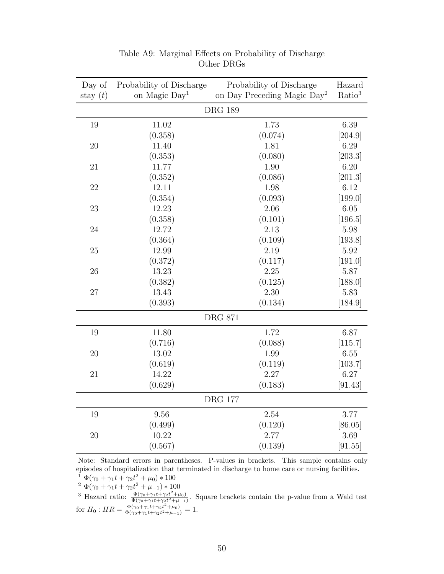| Day of         | Probability of Discharge  | Probability of Discharge                | Hazard             |  |  |
|----------------|---------------------------|-----------------------------------------|--------------------|--|--|
| stay $(t)$     | on Magic Day <sup>1</sup> | on Day Preceding Magic Day <sup>2</sup> | Ratio <sup>3</sup> |  |  |
|                |                           | <b>DRG 189</b>                          |                    |  |  |
| 19             | 11.02                     | 1.73                                    | 6.39               |  |  |
|                | (0.358)                   | (0.074)                                 | [204.9]            |  |  |
| 20             | 11.40                     | 1.81                                    | 6.29               |  |  |
|                | (0.353)                   | (0.080)                                 | [203.3]            |  |  |
| 21             | 11.77                     | 1.90                                    | 6.20               |  |  |
|                | (0.352)                   | (0.086)                                 | [201.3]            |  |  |
| 22             | 12.11                     | 1.98                                    | 6.12               |  |  |
|                | (0.354)                   | (0.093)                                 | [199.0]            |  |  |
| 23             | 12.23                     | 2.06                                    | 6.05               |  |  |
|                | (0.358)                   | (0.101)                                 | [196.5]            |  |  |
| 24             | 12.72                     | 2.13                                    | 5.98               |  |  |
|                | (0.364)                   | (0.109)                                 | [193.8]            |  |  |
| 25             | 12.99                     | 2.19                                    | 5.92               |  |  |
|                | (0.372)                   | (0.117)                                 | [191.0]            |  |  |
| 26             | 13.23                     | 2.25                                    | 5.87               |  |  |
|                | (0.382)                   | (0.125)                                 | [188.0]            |  |  |
| 27             | 13.43                     | 2.30                                    | 5.83               |  |  |
|                | (0.393)                   | (0.134)                                 | [184.9]            |  |  |
| <b>DRG 871</b> |                           |                                         |                    |  |  |
| 19             | 11.80                     | 1.72                                    | 6.87               |  |  |
|                | (0.716)                   | (0.088)                                 | [115.7]            |  |  |
| 20             | 13.02                     | 1.99                                    | 6.55               |  |  |
|                | (0.619)                   | (0.119)                                 | [103.7]            |  |  |
| 21             | 14.22                     | 2.27                                    | 6.27               |  |  |
|                | (0.629)                   | (0.183)                                 | [91.43]            |  |  |
|                |                           | <b>DRG 177</b>                          |                    |  |  |
| 19             | 9.56                      | 2.54                                    | 3.77               |  |  |
|                | (0.499)                   | (0.120)                                 | [86.05]            |  |  |
| 20             | 10.22                     | 2.77                                    | 3.69               |  |  |
|                | (0.567)                   | (0.139)                                 | [91.55]            |  |  |

Table A9: Marginal Effects on Probability of Discharge Other DRGs

Note: Standard errors in parentheses. P-values in brackets. This sample contains only episodes of hospitalization that terminated in discharge to home care or nursing facilities.

<sup>1</sup>  $\Phi(\gamma_0 + \gamma_1 t + \gamma_2 t^2 + \mu_0) * 100$ 

<sup>2</sup>  $\Phi(\gamma_0 + \gamma_1 t + \gamma_2 t^2 + \mu_{-1}) * 100$ 

<sup>3</sup> Hazard ratio:  $\frac{\Phi(\gamma_0 + \gamma_1 t + \gamma_2 t^2 + \mu_0)}{\Phi(\gamma_0 + \gamma_1 t + \gamma_2 t^2 + \mu_0)}$  $\frac{\Psi(\gamma_0 + \gamma_1 t + \gamma_2 t + \mu_0)}{\Phi(\gamma_0 + \gamma_1 t + \gamma_2 t^2 + \mu_{-1})}$ . Square brackets contain the p-value from a Wald test for  $H_0$ :  $HR = \frac{\Phi(\gamma_0 + \gamma_1 t + \gamma_2 t^2 + \mu_0)}{\Phi(\gamma_0 + \gamma_1 t + \gamma_2 t^2 + \mu_0)}$ 

 $\frac{\Psi(\gamma_0 + \gamma_1 t + \gamma_2 t + \mu_0)}{\Phi(\gamma_0 + \gamma_1 t + \gamma_2 t^2 + \mu_{-1})} = 1.$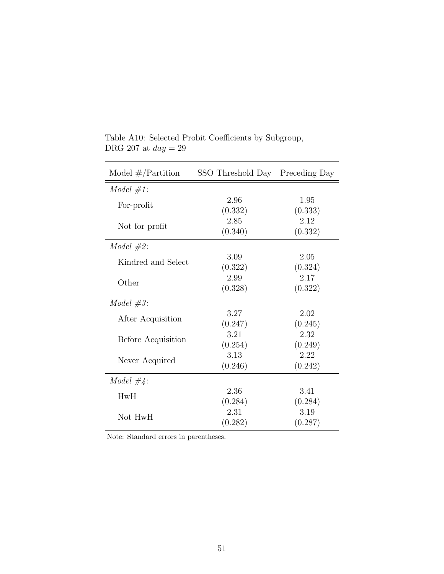| Model $\#$ /Partition | SSO Threshold Day Preceding Day |                 |
|-----------------------|---------------------------------|-----------------|
| $Model \#1:$          |                                 |                 |
| For-profit            | 2.96<br>(0.332)                 | 1.95<br>(0.333) |
| Not for profit        | 2.85<br>(0.340)                 | 2.12<br>(0.332) |
| $Model \#2:$          |                                 |                 |
| Kindred and Select    | 3.09<br>(0.322)                 | 2.05<br>(0.324) |
| Other                 | 2.99<br>(0.328)                 | 2.17<br>(0.322) |
| Model $#3$ :          |                                 |                 |
| After Acquisition     | 3.27<br>(0.247)                 | 2.02<br>(0.245) |
| Before Acquisition    | 3.21<br>(0.254)                 | 2.32<br>(0.249) |
| Never Acquired        | 3.13<br>(0.246)                 | 2.22<br>(0.242) |
| Model $\#4$ :         |                                 |                 |
| HwH                   | 2.36<br>(0.284)                 | 3.41<br>(0.284) |
| Not HwH               | 2.31<br>(0.282)                 | 3.19<br>(0.287) |

Table A10: Selected Probit Coefficients by Subgroup, DRG 207 at  $day=29$ 

Note: Standard errors in parentheses.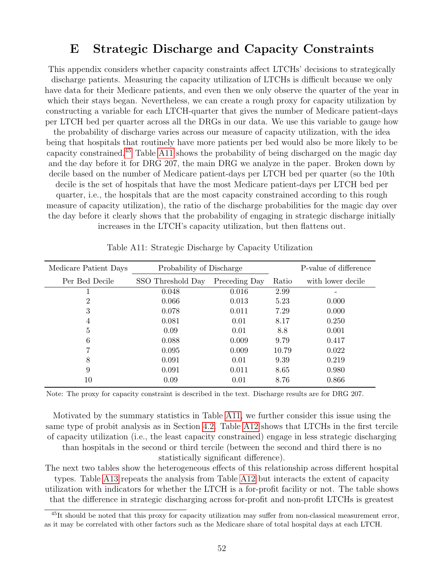### E Strategic Discharge and Capacity Constraints

This appendix considers whether capacity constraints affect LTCHs' decisions to strategically discharge patients. Measuring the capacity utilization of LTCHs is difficult because we only have data for their Medicare patients, and even then we only observe the quarter of the year in which their stays began. Nevertheless, we can create a rough proxy for capacity utilization by constructing a variable for each LTCH-quarter that gives the number of Medicare patient-days per LTCH bed per quarter across all the DRGs in our data. We use this variable to gauge how the probability of discharge varies across our measure of capacity utilization, with the idea being that hospitals that routinely have more patients per bed would also be more likely to be capacity constrained.45 Table A11 shows the probability of being discharged on the magic day and the day before it for DRG 207, the main DRG we analyze in the paper. Broken down by decile based on the number of Medicare patient-days per LTCH bed per quarter (so the 10th decile is the set of hospitals that have the most Medicare patient-days per LTCH bed per quarter, i.e., the hospitals that are the most capacity constrained according to this rough measure of capacity utilization), the ratio of the discharge probabilities for the magic day over the day before it clearly shows that the probability of engaging in strategic discharge initially increases in the LTCH's capacity utilization, but then flattens out.

| Medicare Patient Days | Probability of Discharge |               |       | P-value of difference |  |
|-----------------------|--------------------------|---------------|-------|-----------------------|--|
| Per Bed Decile        | SSO Threshold Day        | Preceding Day | Ratio | with lower decile     |  |
|                       | 0.048                    | 0.016         | 2.99  |                       |  |
| $\overline{2}$        | 0.066                    | 0.013         | 5.23  | 0.000                 |  |
| 3                     | 0.078                    | 0.011         | 7.29  | 0.000                 |  |
| 4                     | 0.081                    | 0.01          | 8.17  | 0.250                 |  |
| 5                     | 0.09                     | 0.01          | 8.8   | 0.001                 |  |
| 6                     | 0.088                    | 0.009         | 9.79  | 0.417                 |  |
|                       | 0.095                    | 0.009         | 10.79 | 0.022                 |  |
| 8                     | 0.091                    | 0.01          | 9.39  | 0.219                 |  |
| 9                     | 0.091                    | 0.011         | 8.65  | 0.980                 |  |
| 10                    | 0.09                     | 0.01          | 8.76  | 0.866                 |  |
|                       |                          |               |       |                       |  |

Table A11: Strategic Discharge by Capacity Utilization

Note: The proxy for capacity constraint is described in the text. Discharge results are for DRG 207.

Motivated by the summary statistics in Table A11, we further consider this issue using the same type of probit analysis as in Section 4.2. Table A12 shows that LTCHs in the first tercile of capacity utilization (i.e., the least capacity constrained) engage in less strategic discharging than hospitals in the second or third tercile (between the second and third there is no statistically significant difference).

The next two tables show the heterogeneous effects of this relationship across different hospital types. Table A13 repeats the analysis from Table A12 but interacts the extent of capacity utilization with indicators for whether the LTCH is a for-profit facility or not. The table shows that the difference in strategic discharging across for-profit and non-profit LTCHs is greatest

<sup>45</sup>It should be noted that this proxy for capacity utilization may suffer from non-classical measurement error, as it may be correlated with other factors such as the Medicare share of total hospital days at each LTCH.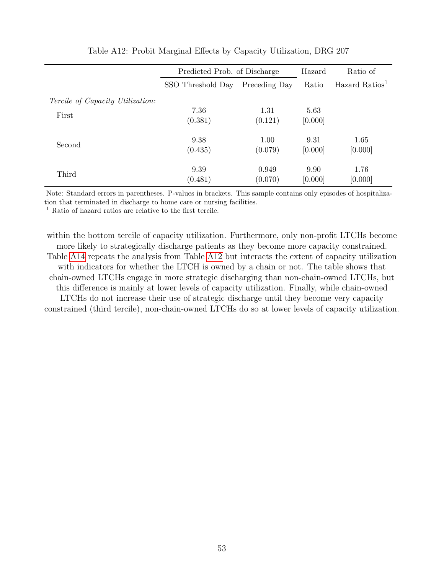|                                         | Predicted Prob. of Discharge | Hazard        | Ratio of |                            |
|-----------------------------------------|------------------------------|---------------|----------|----------------------------|
|                                         | SSO Threshold Day            | Preceding Day | Ratio    | Hazard Ratios <sup>1</sup> |
| <i>Tercile of Capacity Utilization:</i> |                              |               |          |                            |
| First                                   | 7.36                         | 1.31          | 5.63     |                            |
|                                         | (0.381)                      | (0.121)       | [0.000]  |                            |
|                                         | 9.38                         | 1.00          | 9.31     | 1.65                       |
| Second                                  | (0.435)                      | (0.079)       | [0.000]  | [0.000]                    |
|                                         |                              | 0.949         | 9.90     |                            |
| Third                                   | 9.39<br>(0.481)              | (0.070)       | [0.000]  | 1.76<br>[0.000]            |
|                                         |                              |               |          |                            |

Table A12: Probit Marginal Effects by Capacity Utilization, DRG 207

Note: Standard errors in parentheses. P-values in brackets. This sample contains only episodes of hospitalization that terminated in discharge to home care or nursing facilities.

<sup>1</sup> Ratio of hazard ratios are relative to the first tercile.

within the bottom tercile of capacity utilization. Furthermore, only non-profit LTCHs become more likely to strategically discharge patients as they become more capacity constrained. Table A14 repeats the analysis from Table A12 but interacts the extent of capacity utilization with indicators for whether the LTCH is owned by a chain or not. The table shows that chain-owned LTCHs engage in more strategic discharging than non-chain-owned LTCHs, but this difference is mainly at lower levels of capacity utilization. Finally, while chain-owned LTCHs do not increase their use of strategic discharge until they become very capacity constrained (third tercile), non-chain-owned LTCHs do so at lower levels of capacity utilization.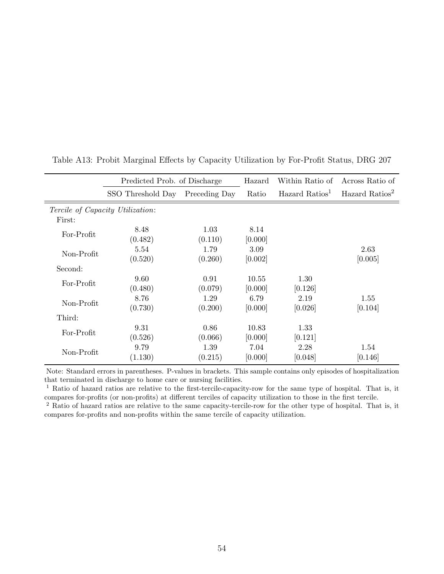|                                         | Predicted Prob. of Discharge |               | Hazard  | Within Ratio of            | Across Ratio of            |
|-----------------------------------------|------------------------------|---------------|---------|----------------------------|----------------------------|
|                                         | SSO Threshold Day            | Preceding Day | Ratio   | Hazard Ratios <sup>1</sup> | Hazard Ratios <sup>2</sup> |
| <i>Tercile of Capacity Utilization:</i> |                              |               |         |                            |                            |
| First:                                  |                              |               |         |                            |                            |
| For-Profit                              | 8.48                         | 1.03          | 8.14    |                            |                            |
|                                         | (0.482)                      | (0.110)       | [0.000] |                            |                            |
| Non-Profit                              | 5.54                         | 1.79          | 3.09    |                            | 2.63                       |
|                                         | (0.520)                      | (0.260)       | [0.002] |                            | [0.005]                    |
| Second:                                 |                              |               |         |                            |                            |
| For-Profit                              | 9.60                         | 0.91          | 10.55   | 1.30                       |                            |
|                                         | (0.480)                      | (0.079)       | [0.000] | [0.126]                    |                            |
| Non-Profit                              | 8.76                         | 1.29          | 6.79    | 2.19                       | 1.55                       |
|                                         | (0.730)                      | (0.200)       | [0.000] | [0.026]                    | [0.104]                    |
| Third:                                  |                              |               |         |                            |                            |
| For-Profit                              | 9.31                         | 0.86          | 10.83   | 1.33                       |                            |
|                                         | (0.526)                      | (0.066)       | [0.000] | [0.121]                    |                            |
| Non-Profit                              | 9.79                         | 1.39          | 7.04    | 2.28                       | 1.54                       |
|                                         | (1.130)                      | (0.215)       | [0.000] | [0.048]                    | [0.146]                    |

Table A13: Probit Marginal Effects by Capacity Utilization by For-Profit Status, DRG 207

Note: Standard errors in parentheses. P-values in brackets. This sample contains only episodes of hospitalization that terminated in discharge to home care or nursing facilities.

<sup>1</sup> Ratio of hazard ratios are relative to the first-tercile-capacity-row for the same type of hospital. That is, it compares for-profits (or non-profits) at different terciles of capacity utilization to those in the first tercile.

<sup>2</sup> Ratio of hazard ratios are relative to the same capacity-tercile-row for the other type of hospital. That is, it compares for-profits and non-profits within the same tercile of capacity utilization.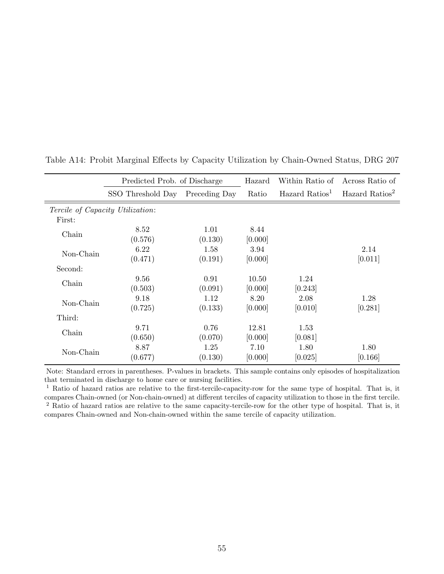|                                         | Predicted Prob. of Discharge |               | Hazard  | Within Ratio of            | Across Ratio of            |
|-----------------------------------------|------------------------------|---------------|---------|----------------------------|----------------------------|
|                                         | SSO Threshold Day            | Preceding Day | Ratio   | Hazard Ratios <sup>1</sup> | Hazard Ratios <sup>2</sup> |
| <i>Tercile of Capacity Utilization:</i> |                              |               |         |                            |                            |
| First:                                  |                              |               |         |                            |                            |
| Chain                                   | 8.52                         | 1.01          | 8.44    |                            |                            |
|                                         | (0.576)                      | (0.130)       | [0.000] |                            |                            |
| Non-Chain                               | 6.22                         | 1.58          | 3.94    |                            | 2.14                       |
|                                         | (0.471)                      | (0.191)       | [0.000] |                            | [0.011]                    |
| Second:                                 |                              |               |         |                            |                            |
| Chain                                   | 9.56                         | 0.91          | 10.50   | 1.24                       |                            |
|                                         | (0.503)                      | (0.091)       | [0.000] | [0.243]                    |                            |
| Non-Chain                               | 9.18                         | 1.12          | 8.20    | 2.08                       | 1.28                       |
|                                         | (0.725)                      | (0.133)       | [0.000] | [0.010]                    | [0.281]                    |
| Third:                                  |                              |               |         |                            |                            |
| Chain                                   | 9.71                         | 0.76          | 12.81   | 1.53                       |                            |
|                                         | (0.650)                      | (0.070)       | [0.000] | [0.081]                    |                            |
| Non-Chain                               | 8.87                         | 1.25          | 7.10    | 1.80                       | 1.80                       |
|                                         | (0.677)                      | (0.130)       | [0.000] | [0.025]                    | [0.166]                    |

Table A14: Probit Marginal Effects by Capacity Utilization by Chain-Owned Status, DRG 207

Note: Standard errors in parentheses. P-values in brackets. This sample contains only episodes of hospitalization that terminated in discharge to home care or nursing facilities.

<sup>1</sup> Ratio of hazard ratios are relative to the first-tercile-capacity-row for the same type of hospital. That is, it compares Chain-owned (or Non-chain-owned) at different terciles of capacity utilization to those in the first tercile. <sup>2</sup> Ratio of hazard ratios are relative to the same capacity-tercile-row for the other type of hospital. That is, it compares Chain-owned and Non-chain-owned within the same tercile of capacity utilization.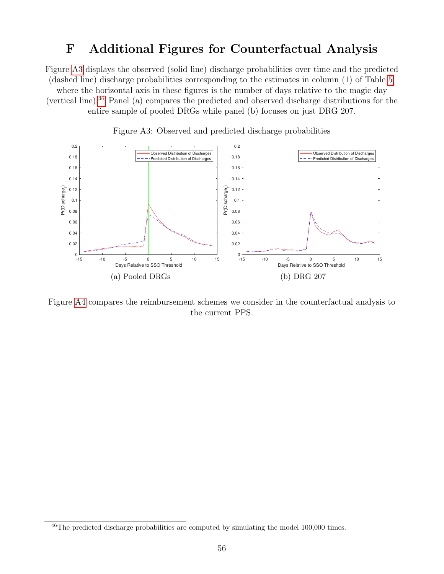# F Additional Figures for Counterfactual Analysis

Figure A3 displays the observed (solid line) discharge probabilities over time and the predicted (dashed line) discharge probabilities corresponding to the estimates in column (1) of Table 5, where the horizontal axis in these figures is the number of days relative to the magic day (vertical line).46 Panel (a) compares the predicted and observed discharge distributions for the entire sample of pooled DRGs while panel (b) focuses on just DRG 207.





Figure A4 compares the reimbursement schemes we consider in the counterfactual analysis to the current PPS.

<sup>46</sup>The predicted discharge probabilities are computed by simulating the model 100,000 times.